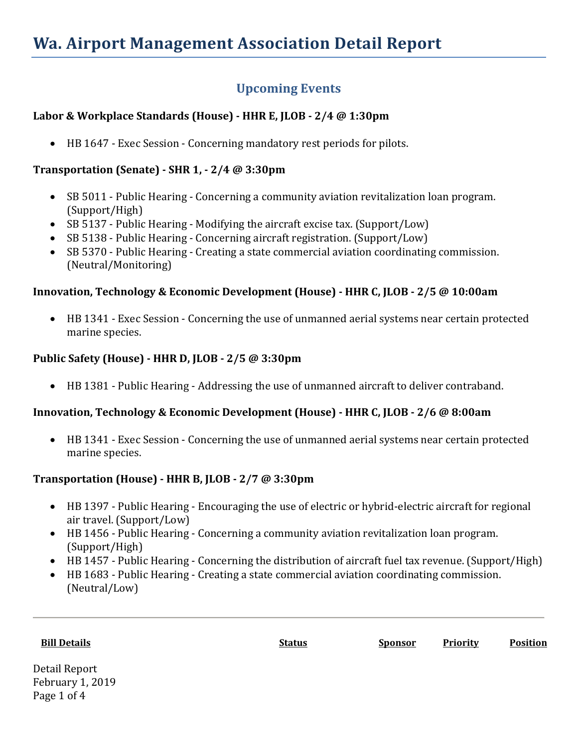# **Wa. Airport Management Association Detail Report**

## **Upcoming Events**

#### **Labor & Workplace Standards (House) - HHR E, JLOB - 2/4 @ 1:30pm**

• HB 1647 - Exec Session - Concerning mandatory rest periods for pilots.

#### **Transportation (Senate) - SHR 1, - 2/4 @ 3:30pm**

- SB 5011 Public Hearing Concerning a community aviation revitalization loan program. (Support/High)
- SB 5137 Public Hearing Modifying the aircraft excise tax. (Support/Low)
- SB 5138 Public Hearing Concerning aircraft registration. (Support/Low)
- SB 5370 Public Hearing Creating a state commercial aviation coordinating commission. (Neutral/Monitoring)

#### **Innovation, Technology & Economic Development (House) - HHR C, JLOB - 2/5 @ 10:00am**

• HB 1341 - Exec Session - Concerning the use of unmanned aerial systems near certain protected marine species.

### **Public Safety (House) - HHR D, JLOB - 2/5 @ 3:30pm**

• HB 1381 - Public Hearing - Addressing the use of unmanned aircraft to deliver contraband.

#### **Innovation, Technology & Economic Development (House) - HHR C, JLOB - 2/6 @ 8:00am**

• HB 1341 - Exec Session - Concerning the use of unmanned aerial systems near certain protected marine species.

#### **Transportation (House) - HHR B, JLOB - 2/7 @ 3:30pm**

- HB 1397 Public Hearing Encouraging the use of electric or hybrid-electric aircraft for regional air travel. (Support/Low)
- HB 1456 Public Hearing Concerning a community aviation revitalization loan program. (Support/High)
- HB 1457 Public Hearing Concerning the distribution of aircraft fuel tax revenue. (Support/High)
- HB 1683 Public Hearing Creating a state commercial aviation coordinating commission. (Neutral/Low)

**Bill Details Status Sponsor Priority Position**

Detail Report February 1, 2019 Page 1 of 4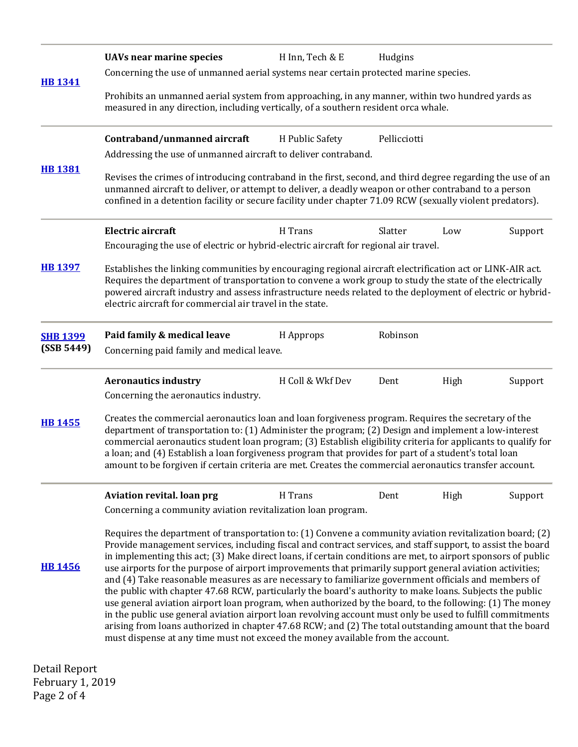|                 | <b>UAVs near marine species</b>                                                                                                                                                                                                                                                                                                                                                                                                                                                                                                                                                                                                                                                                                                                                                                                                                                                                                                                                                                                                                                                                  | H Inn, Tech & E  | Hudgins      |      |         |  |  |
|-----------------|--------------------------------------------------------------------------------------------------------------------------------------------------------------------------------------------------------------------------------------------------------------------------------------------------------------------------------------------------------------------------------------------------------------------------------------------------------------------------------------------------------------------------------------------------------------------------------------------------------------------------------------------------------------------------------------------------------------------------------------------------------------------------------------------------------------------------------------------------------------------------------------------------------------------------------------------------------------------------------------------------------------------------------------------------------------------------------------------------|------------------|--------------|------|---------|--|--|
| <b>HB 1341</b>  | Concerning the use of unmanned aerial systems near certain protected marine species.                                                                                                                                                                                                                                                                                                                                                                                                                                                                                                                                                                                                                                                                                                                                                                                                                                                                                                                                                                                                             |                  |              |      |         |  |  |
|                 | Prohibits an unmanned aerial system from approaching, in any manner, within two hundred yards as<br>measured in any direction, including vertically, of a southern resident orca whale.                                                                                                                                                                                                                                                                                                                                                                                                                                                                                                                                                                                                                                                                                                                                                                                                                                                                                                          |                  |              |      |         |  |  |
|                 | Contraband/unmanned aircraft                                                                                                                                                                                                                                                                                                                                                                                                                                                                                                                                                                                                                                                                                                                                                                                                                                                                                                                                                                                                                                                                     | H Public Safety  | Pellicciotti |      |         |  |  |
|                 | Addressing the use of unmanned aircraft to deliver contraband.                                                                                                                                                                                                                                                                                                                                                                                                                                                                                                                                                                                                                                                                                                                                                                                                                                                                                                                                                                                                                                   |                  |              |      |         |  |  |
| <b>HB1381</b>   | Revises the crimes of introducing contraband in the first, second, and third degree regarding the use of an<br>unmanned aircraft to deliver, or attempt to deliver, a deadly weapon or other contraband to a person<br>confined in a detention facility or secure facility under chapter 71.09 RCW (sexually violent predators).                                                                                                                                                                                                                                                                                                                                                                                                                                                                                                                                                                                                                                                                                                                                                                 |                  |              |      |         |  |  |
|                 | <b>Electric aircraft</b>                                                                                                                                                                                                                                                                                                                                                                                                                                                                                                                                                                                                                                                                                                                                                                                                                                                                                                                                                                                                                                                                         | H Trans          | Slatter      | Low  | Support |  |  |
|                 | Encouraging the use of electric or hybrid-electric aircraft for regional air travel.                                                                                                                                                                                                                                                                                                                                                                                                                                                                                                                                                                                                                                                                                                                                                                                                                                                                                                                                                                                                             |                  |              |      |         |  |  |
| <b>HB 1397</b>  | Establishes the linking communities by encouraging regional aircraft electrification act or LINK-AIR act.<br>Requires the department of transportation to convene a work group to study the state of the electrically<br>powered aircraft industry and assess infrastructure needs related to the deployment of electric or hybrid-<br>electric aircraft for commercial air travel in the state.                                                                                                                                                                                                                                                                                                                                                                                                                                                                                                                                                                                                                                                                                                 |                  |              |      |         |  |  |
| <b>SHB 1399</b> | Paid family & medical leave                                                                                                                                                                                                                                                                                                                                                                                                                                                                                                                                                                                                                                                                                                                                                                                                                                                                                                                                                                                                                                                                      | H Approps        | Robinson     |      |         |  |  |
| (SSB 5449)      | Concerning paid family and medical leave.                                                                                                                                                                                                                                                                                                                                                                                                                                                                                                                                                                                                                                                                                                                                                                                                                                                                                                                                                                                                                                                        |                  |              |      |         |  |  |
|                 | <b>Aeronautics industry</b>                                                                                                                                                                                                                                                                                                                                                                                                                                                                                                                                                                                                                                                                                                                                                                                                                                                                                                                                                                                                                                                                      | H Coll & Wkf Dev | Dent         | High | Support |  |  |
|                 | Concerning the aeronautics industry.                                                                                                                                                                                                                                                                                                                                                                                                                                                                                                                                                                                                                                                                                                                                                                                                                                                                                                                                                                                                                                                             |                  |              |      |         |  |  |
| <b>HB 1455</b>  | Creates the commercial aeronautics loan and loan forgiveness program. Requires the secretary of the<br>department of transportation to: (1) Administer the program; (2) Design and implement a low-interest<br>commercial aeronautics student loan program; (3) Establish eligibility criteria for applicants to qualify for<br>a loan; and (4) Establish a loan forgiveness program that provides for part of a student's total loan<br>amount to be forgiven if certain criteria are met. Creates the commercial aeronautics transfer account.                                                                                                                                                                                                                                                                                                                                                                                                                                                                                                                                                 |                  |              |      |         |  |  |
|                 | Aviation revital. loan prg                                                                                                                                                                                                                                                                                                                                                                                                                                                                                                                                                                                                                                                                                                                                                                                                                                                                                                                                                                                                                                                                       | H Trans          | Dent         | High | Support |  |  |
|                 | Concerning a community aviation revitalization loan program.                                                                                                                                                                                                                                                                                                                                                                                                                                                                                                                                                                                                                                                                                                                                                                                                                                                                                                                                                                                                                                     |                  |              |      |         |  |  |
| <b>HB 1456</b>  | Requires the department of transportation to: (1) Convene a community aviation revitalization board; (2)<br>Provide management services, including fiscal and contract services, and staff support, to assist the board<br>in implementing this act; (3) Make direct loans, if certain conditions are met, to airport sponsors of public<br>use airports for the purpose of airport improvements that primarily support general aviation activities;<br>and (4) Take reasonable measures as are necessary to familiarize government officials and members of<br>the public with chapter 47.68 RCW, particularly the board's authority to make loans. Subjects the public<br>use general aviation airport loan program, when authorized by the board, to the following: (1) The money<br>in the public use general aviation airport loan revolving account must only be used to fulfill commitments<br>arising from loans authorized in chapter 47.68 RCW; and (2) The total outstanding amount that the board<br>must dispense at any time must not exceed the money available from the account. |                  |              |      |         |  |  |
| Detail Report   |                                                                                                                                                                                                                                                                                                                                                                                                                                                                                                                                                                                                                                                                                                                                                                                                                                                                                                                                                                                                                                                                                                  |                  |              |      |         |  |  |

Detail Report February 1, 2019 Page 2 of 4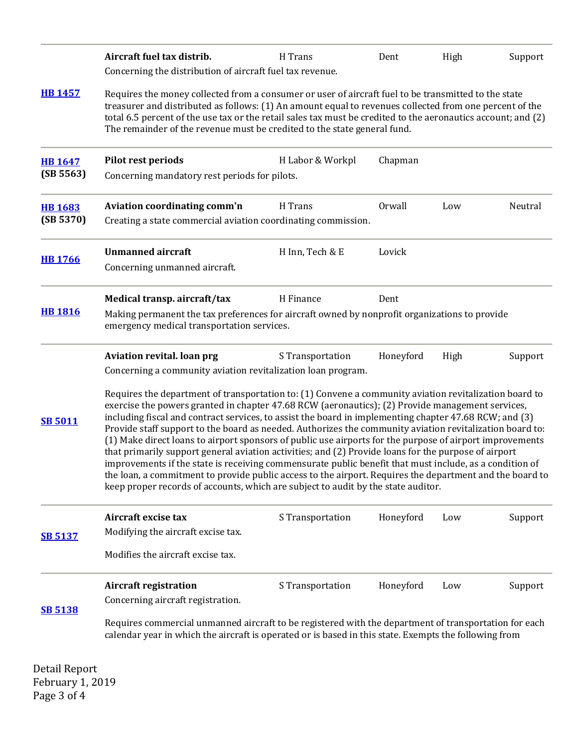| Aircraft fuel tax distrib.                                                                                                                                                                                                                                                                                                                                                                                                                                                                                                                                                                                                                                                                                                                                                                                                                                                                                                                                       | H Trans                           | Dent                                                                                                       | High                                                                                                                          | Support                                                                                                                                                                                                        |  |  |
|------------------------------------------------------------------------------------------------------------------------------------------------------------------------------------------------------------------------------------------------------------------------------------------------------------------------------------------------------------------------------------------------------------------------------------------------------------------------------------------------------------------------------------------------------------------------------------------------------------------------------------------------------------------------------------------------------------------------------------------------------------------------------------------------------------------------------------------------------------------------------------------------------------------------------------------------------------------|-----------------------------------|------------------------------------------------------------------------------------------------------------|-------------------------------------------------------------------------------------------------------------------------------|----------------------------------------------------------------------------------------------------------------------------------------------------------------------------------------------------------------|--|--|
| Requires the money collected from a consumer or user of aircraft fuel to be transmitted to the state<br>treasurer and distributed as follows: (1) An amount equal to revenues collected from one percent of the<br>total 6.5 percent of the use tax or the retail sales tax must be credited to the aeronautics account; and (2)<br>The remainder of the revenue must be credited to the state general fund.                                                                                                                                                                                                                                                                                                                                                                                                                                                                                                                                                     |                                   |                                                                                                            |                                                                                                                               |                                                                                                                                                                                                                |  |  |
| Pilot rest periods                                                                                                                                                                                                                                                                                                                                                                                                                                                                                                                                                                                                                                                                                                                                                                                                                                                                                                                                               | H Labor & Workpl                  | Chapman                                                                                                    |                                                                                                                               |                                                                                                                                                                                                                |  |  |
| Aviation coordinating comm'n                                                                                                                                                                                                                                                                                                                                                                                                                                                                                                                                                                                                                                                                                                                                                                                                                                                                                                                                     | H Trans                           | Orwall                                                                                                     | Low                                                                                                                           | Neutral                                                                                                                                                                                                        |  |  |
| <b>Unmanned aircraft</b><br>Concerning unmanned aircraft.                                                                                                                                                                                                                                                                                                                                                                                                                                                                                                                                                                                                                                                                                                                                                                                                                                                                                                        | H Inn, Tech & E                   | Lovick                                                                                                     |                                                                                                                               |                                                                                                                                                                                                                |  |  |
| Medical transp. aircraft/tax                                                                                                                                                                                                                                                                                                                                                                                                                                                                                                                                                                                                                                                                                                                                                                                                                                                                                                                                     | H Finance                         | Dent                                                                                                       |                                                                                                                               |                                                                                                                                                                                                                |  |  |
| Making permanent the tax preferences for aircraft owned by nonprofit organizations to provide<br>emergency medical transportation services.                                                                                                                                                                                                                                                                                                                                                                                                                                                                                                                                                                                                                                                                                                                                                                                                                      |                                   |                                                                                                            |                                                                                                                               |                                                                                                                                                                                                                |  |  |
| Aviation revital. loan prg                                                                                                                                                                                                                                                                                                                                                                                                                                                                                                                                                                                                                                                                                                                                                                                                                                                                                                                                       | S Transportation                  | Honeyford                                                                                                  | High                                                                                                                          | Support                                                                                                                                                                                                        |  |  |
| Requires the department of transportation to: (1) Convene a community aviation revitalization board to<br>exercise the powers granted in chapter 47.68 RCW (aeronautics); (2) Provide management services,<br>including fiscal and contract services, to assist the board in implementing chapter 47.68 RCW; and (3)<br>Provide staff support to the board as needed. Authorizes the community aviation revitalization board to:<br>(1) Make direct loans to airport sponsors of public use airports for the purpose of airport improvements<br>that primarily support general aviation activities; and (2) Provide loans for the purpose of airport<br>improvements if the state is receiving commensurate public benefit that must include, as a condition of<br>the loan, a commitment to provide public access to the airport. Requires the department and the board to<br>keep proper records of accounts, which are subject to audit by the state auditor. |                                   |                                                                                                            |                                                                                                                               |                                                                                                                                                                                                                |  |  |
| Aircraft excise tax<br>Modifying the aircraft excise tax.                                                                                                                                                                                                                                                                                                                                                                                                                                                                                                                                                                                                                                                                                                                                                                                                                                                                                                        | S Transportation                  | Honeyford                                                                                                  | Low                                                                                                                           | Support                                                                                                                                                                                                        |  |  |
| <b>Aircraft registration</b><br>Concerning aircraft registration.                                                                                                                                                                                                                                                                                                                                                                                                                                                                                                                                                                                                                                                                                                                                                                                                                                                                                                | S Transportation                  | Honeyford                                                                                                  | Low                                                                                                                           | Support                                                                                                                                                                                                        |  |  |
|                                                                                                                                                                                                                                                                                                                                                                                                                                                                                                                                                                                                                                                                                                                                                                                                                                                                                                                                                                  | Modifies the aircraft excise tax. | Concerning the distribution of aircraft fuel tax revenue.<br>Concerning mandatory rest periods for pilots. | Creating a state commercial aviation coordinating commission.<br>Concerning a community aviation revitalization loan program. | Requires commercial unmanned aircraft to be registered with the department of transportation for each<br>calendar year in which the aircraft is operated or is based in this state. Exempts the following from |  |  |

Detail Report February 1, 2019 Page 3 of 4